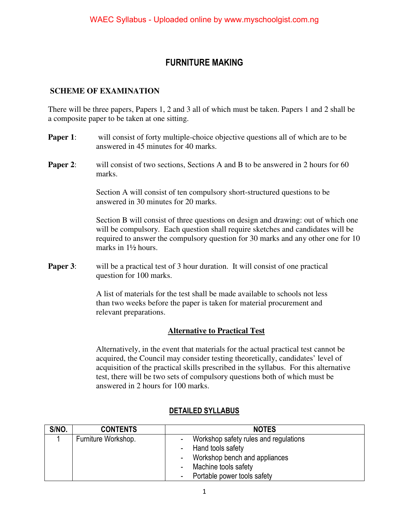## **FURNITURE MAKING**

#### **SCHEME OF EXAMINATION**

There will be three papers, Papers 1, 2 and 3 all of which must be taken. Papers 1 and 2 shall be a composite paper to be taken at one sitting.

- **Paper 1:** will consist of forty multiple-choice objective questions all of which are to be answered in 45 minutes for 40 marks.
- **Paper 2:** will consist of two sections, Sections A and B to be answered in 2 hours for 60 marks.

Section A will consist of ten compulsory short-structured questions to be answered in 30 minutes for 20 marks.

Section B will consist of three questions on design and drawing: out of which one will be compulsory. Each question shall require sketches and candidates will be required to answer the compulsory question for 30 marks and any other one for 10 marks in 1½ hours.

**Paper 3:** will be a practical test of 3 hour duration. It will consist of one practical question for 100 marks.

> A list of materials for the test shall be made available to schools not less than two weeks before the paper is taken for material procurement and relevant preparations.

#### **Alternative to Practical Test**

 Alternatively, in the event that materials for the actual practical test cannot be acquired, the Council may consider testing theoretically, candidates' level of acquisition of the practical skills prescribed in the syllabus. For this alternative test, there will be two sets of compulsory questions both of which must be answered in 2 hours for 100 marks.

| S/NO. | <b>CONTENTS</b>     | <b>NOTES</b>                                               |  |
|-------|---------------------|------------------------------------------------------------|--|
|       | Furniture Workshop. | Workshop safety rules and regulations<br>Hand tools safety |  |
|       |                     | Workshop bench and appliances                              |  |
|       |                     | Machine tools safety                                       |  |
|       |                     | Portable power tools safety                                |  |

#### **DETAILED SYLLABUS**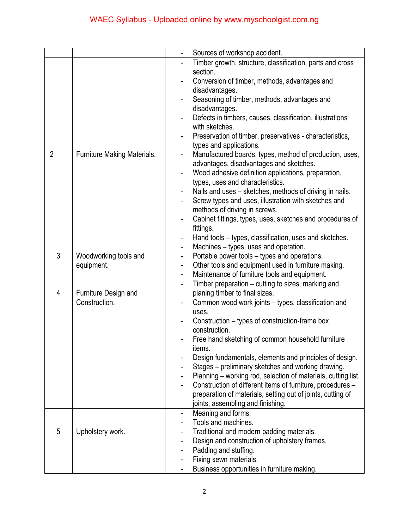|                |                             | Sources of workshop accident.                                                                                 |  |
|----------------|-----------------------------|---------------------------------------------------------------------------------------------------------------|--|
|                |                             | Timber growth, structure, classification, parts and cross                                                     |  |
|                |                             | section.                                                                                                      |  |
|                |                             | Conversion of timber, methods, advantages and                                                                 |  |
|                |                             | disadvantages.                                                                                                |  |
|                |                             | Seasoning of timber, methods, advantages and                                                                  |  |
|                |                             | disadvantages.                                                                                                |  |
|                |                             | Defects in timbers, causes, classification, illustrations                                                     |  |
|                |                             | with sketches.                                                                                                |  |
|                |                             | Preservation of timber, preservatives - characteristics,                                                      |  |
|                | Furniture Making Materials. | types and applications.                                                                                       |  |
| $\overline{2}$ |                             | Manufactured boards, types, method of production, uses,                                                       |  |
|                |                             | advantages, disadvantages and sketches.                                                                       |  |
|                |                             | Wood adhesive definition applications, preparation,                                                           |  |
|                |                             | types, uses and characteristics.                                                                              |  |
|                |                             | Nails and uses – sketches, methods of driving in nails.                                                       |  |
|                |                             | Screw types and uses, illustration with sketches and                                                          |  |
|                |                             | methods of driving in screws.                                                                                 |  |
|                |                             | Cabinet fittings, types, uses, sketches and procedures of                                                     |  |
|                |                             | fittings.                                                                                                     |  |
|                |                             | Hand tools – types, classification, uses and sketches.<br>$\blacksquare$                                      |  |
|                |                             | Machines – types, uses and operation.                                                                         |  |
| 3              | Woodworking tools and       | Portable power tools – types and operations.<br>$\overline{\phantom{a}}$                                      |  |
|                | equipment.                  | Other tools and equipment used in furniture making.<br>$\blacksquare$                                         |  |
|                |                             | Maintenance of furniture tools and equipment.                                                                 |  |
|                |                             | Timber preparation – cutting to sizes, marking and                                                            |  |
| $\overline{4}$ | Furniture Design and        | planing timber to final sizes.                                                                                |  |
|                | Construction.               | Common wood work joints - types, classification and                                                           |  |
|                |                             | uses.                                                                                                         |  |
|                |                             | Construction – types of construction-frame box                                                                |  |
|                |                             | construction.                                                                                                 |  |
|                |                             | Free hand sketching of common household furniture                                                             |  |
|                |                             | items.                                                                                                        |  |
|                |                             | Design fundamentals, elements and principles of design.<br>Stages – preliminary sketches and working drawing. |  |
|                |                             | Planning – working rod, selection of materials, cutting list.                                                 |  |
|                |                             | Construction of different items of furniture, procedures -                                                    |  |
|                |                             | preparation of materials, setting out of joints, cutting of                                                   |  |
|                |                             | joints, assembling and finishing.                                                                             |  |
|                |                             | Meaning and forms.<br>-                                                                                       |  |
|                |                             | Tools and machines.                                                                                           |  |
| 5              | Upholstery work.            | Traditional and modern padding materials.                                                                     |  |
|                |                             | Design and construction of upholstery frames.                                                                 |  |
|                |                             | Padding and stuffing.                                                                                         |  |
|                |                             | Fixing sewn materials.                                                                                        |  |
|                |                             | Business opportunities in furniture making.                                                                   |  |
|                |                             |                                                                                                               |  |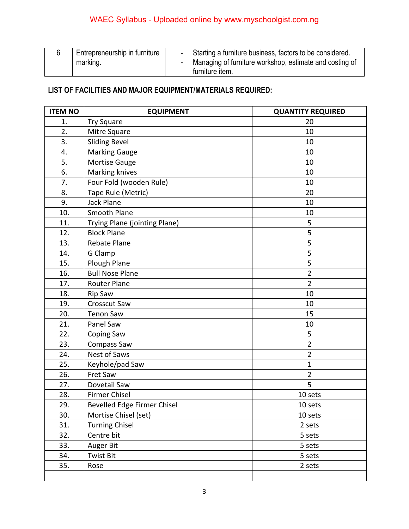|  | Entrepreneurship in furniture | Starting a furniture business, factors to be considered. |                                                         |
|--|-------------------------------|----------------------------------------------------------|---------------------------------------------------------|
|  | marking.                      |                                                          | Managing of furniture workshop, estimate and costing of |
|  |                               |                                                          | furniture item.                                         |

## **LIST OF FACILITIES AND MAJOR EQUIPMENT/MATERIALS REQUIRED:**

| <b>ITEM NO</b> | <b>EQUIPMENT</b>              | <b>QUANTITY REQUIRED</b> |
|----------------|-------------------------------|--------------------------|
| 1.             | <b>Try Square</b>             | 20                       |
| 2.             | Mitre Square                  | 10                       |
| 3.             | <b>Sliding Bevel</b>          | 10                       |
| 4.             | <b>Marking Gauge</b>          | 10                       |
| 5.             | Mortise Gauge                 | 10                       |
| 6.             | Marking knives                | 10                       |
| 7.             | Four Fold (wooden Rule)       | 10                       |
| 8.             | Tape Rule (Metric)            | 20                       |
| 9.             | Jack Plane                    | 10                       |
| 10.            | Smooth Plane                  | 10                       |
| 11.            | Trying Plane (jointing Plane) | 5                        |
| 12.            | <b>Block Plane</b>            | 5                        |
| 13.            | Rebate Plane                  | 5                        |
| 14.            | G Clamp                       | 5                        |
| 15.            | Plough Plane                  | 5                        |
| 16.            | <b>Bull Nose Plane</b>        | $\overline{2}$           |
| 17.            | <b>Router Plane</b>           | $\overline{2}$           |
| 18.            | <b>Rip Saw</b>                | 10                       |
| 19.            | Crosscut Saw                  | 10                       |
| 20.            | <b>Tenon Saw</b>              | 15                       |
| 21.            | Panel Saw                     | 10                       |
| 22.            | Coping Saw                    | 5                        |
| 23.            | Compass Saw                   | $\overline{2}$           |
| 24.            | <b>Nest of Saws</b>           | $\overline{2}$           |
| 25.            | Keyhole/pad Saw               | $\mathbf{1}$             |
| 26.            | Fret Saw                      | $\overline{2}$           |
| 27.            | Dovetail Saw                  | 5                        |
| 28.            | <b>Firmer Chisel</b>          | 10 sets                  |
| 29.            | Bevelled Edge Firmer Chisel   | 10 sets                  |
| 30.            | Mortise Chisel (set)          | 10 sets                  |
| 31.            | <b>Turning Chisel</b>         | 2 sets                   |
| 32.            | Centre bit                    | 5 sets                   |
| 33.            | Auger Bit                     | 5 sets                   |
| 34.            | <b>Twist Bit</b>              | 5 sets                   |
| 35.            | Rose                          | 2 sets                   |
|                |                               |                          |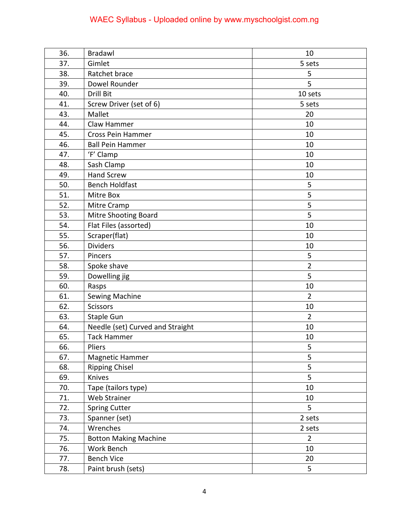# WAEC Syllabus - Uploaded online by www.myschoolgist.com.ng

| 36. | Bradawl                          | 10             |
|-----|----------------------------------|----------------|
| 37. | Gimlet                           | 5 sets         |
| 38. | Ratchet brace                    | 5              |
| 39. | Dowel Rounder                    | 5              |
| 40. | Drill Bit                        | 10 sets        |
| 41. | Screw Driver (set of 6)          | 5 sets         |
| 43. | Mallet                           | 20             |
| 44. | Claw Hammer                      | 10             |
| 45. | Cross Pein Hammer                | 10             |
| 46. | <b>Ball Pein Hammer</b>          | 10             |
| 47. | 'F' Clamp                        | 10             |
| 48. | Sash Clamp                       | 10             |
| 49. | <b>Hand Screw</b>                | 10             |
| 50. | <b>Bench Holdfast</b>            | 5              |
| 51. | Mitre Box                        | 5              |
| 52. | Mitre Cramp                      | 5              |
| 53. | <b>Mitre Shooting Board</b>      | 5              |
| 54. | Flat Files (assorted)            | 10             |
| 55. | Scraper(flat)                    | 10             |
| 56. | <b>Dividers</b>                  | 10             |
| 57. | Pincers                          | 5              |
| 58. | Spoke shave                      | $\overline{2}$ |
| 59. | Dowelling jig                    | 5              |
| 60. | Rasps                            | 10             |
| 61. | Sewing Machine                   | $\overline{2}$ |
| 62. | <b>Scissors</b>                  | 10             |
| 63. | <b>Staple Gun</b>                | $\overline{2}$ |
| 64. | Needle (set) Curved and Straight | 10             |
| 65. | <b>Tack Hammer</b>               | 10             |
| 66. | Pliers                           | 5              |
| 67. | Magnetic Hammer                  | 5              |
| 68. | <b>Ripping Chisel</b>            | 5              |
| 69. | Knives                           | 5              |
| 70. | Tape (tailors type)              | 10             |
| 71. | Web Strainer                     | 10             |
| 72. | <b>Spring Cutter</b>             | 5              |
| 73. | Spanner (set)                    | 2 sets         |
| 74. | Wrenches                         | 2 sets         |
| 75. | <b>Botton Making Machine</b>     | $\overline{2}$ |
| 76. | Work Bench                       | 10             |
| 77. | <b>Bench Vice</b>                | 20             |
| 78. | Paint brush (sets)               | 5              |